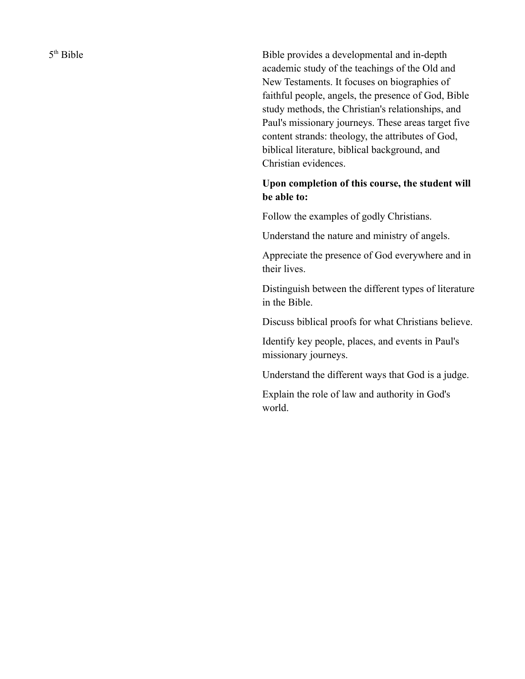5<sup>th</sup> Bible

Bible provides a developmental and in-depth academic study of the teachings of the Old and New Testaments. It focuses on biographies of faithful people, angels, the presence of God, Bible study methods, the Christian's relationships, and Paul's missionary journeys. These areas target five content strands: theology, the attributes of God, biblical literature, biblical background, and Christian evidences.

## **Upon completion of this course, the student will be able to:**

Follow the examples of godly Christians.

Understand the nature and ministry of angels.

Appreciate the presence of God everywhere and in their lives.

Distinguish between the different types of literature in the Bible.

Discuss biblical proofs for what Christians believe.

Identify key people, places, and events in Paul's missionary journeys.

Understand the different ways that God is a judge.

Explain the role of law and authority in God's world.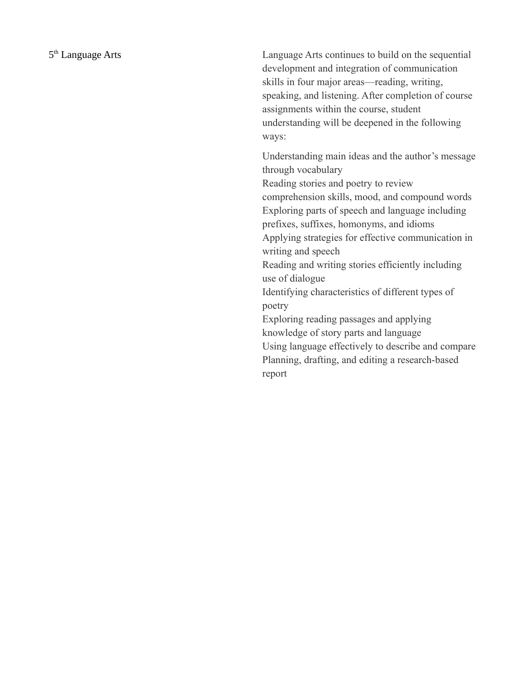Language Arts continues to build on the sequential development and integration of communication skills in four major areas—reading, writing, speaking, and listening. After completion of course assignments within the course, student understanding will be deepened in the following ways:

Understanding main ideas and the author's message through vocabulary Reading stories and poetry to review comprehension skills, mood, and compound words Exploring parts of speech and language including prefixes, suffixes, homonyms, and idioms Applying strategies for effective communication in writing and speech Reading and writing stories efficiently including use of dialogue Identifying characteristics of different types of poetry Exploring reading passages and applying knowledge of story parts and language Using language effectively to describe and compare Planning, drafting, and editing a research-based report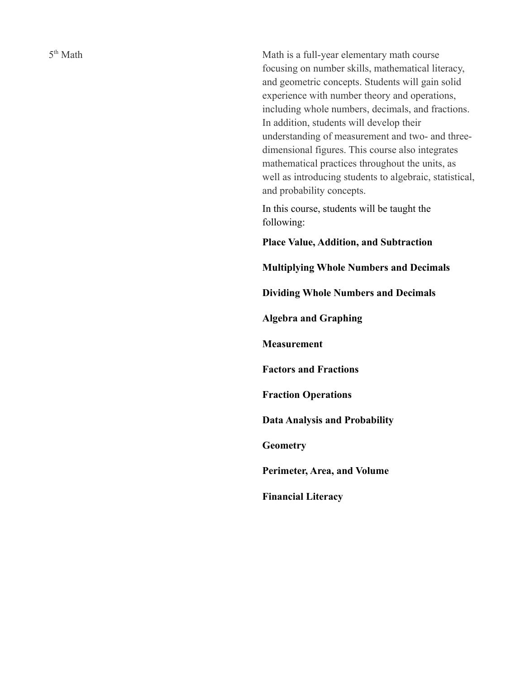5<sup>th</sup> Math

Math is a full-year elementary math course focusing on number skills, mathematical literacy, and geometric concepts. Students will gain solid experience with number theory and operations, including whole numbers, decimals, and fractions. In addition, students will develop their understanding of measurement and two- and threedimensional figures. This course also integrates mathematical practices throughout the units, as well as introducing students to algebraic, statistical, and probability concepts.

In this course, students will be taught the following:

**Place Value, Addition, and Subtraction**

**Multiplying Whole Numbers and Decimals**

**Dividing Whole Numbers and Decimals**

**Algebra and Graphing**

**Measurement**

**Factors and Fractions**

**Fraction Operations**

**Data Analysis and Probability**

**Geometry**

**Perimeter, Area, and Volume**

**Financial Literacy**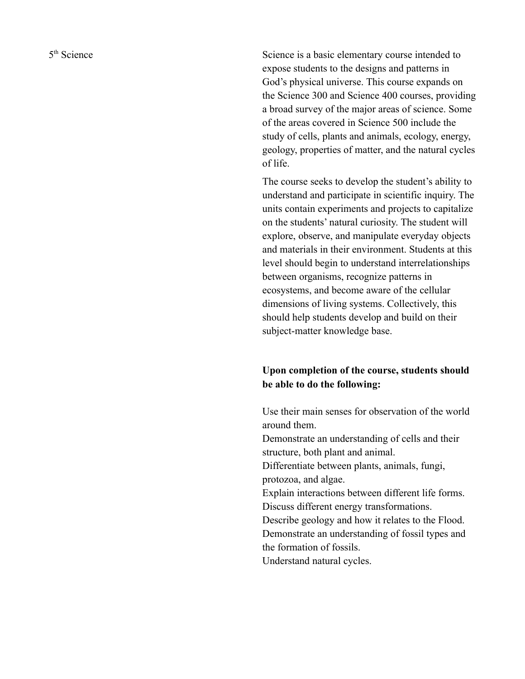5<sup>th</sup> Science

Science is a basic elementary course intended to expose students to the designs and patterns in God's physical universe. This course expands on the Science 300 and Science 400 courses, providing a broad survey of the major areas of science. Some of the areas covered in Science 500 include the study of cells, plants and animals, ecology, energy, geology, properties of matter, and the natural cycles of life.

The course seeks to develop the student's ability to understand and participate in scientific inquiry. The units contain experiments and projects to capitalize on the students' natural curiosity. The student will explore, observe, and manipulate everyday objects and materials in their environment. Students at this level should begin to understand interrelationships between organisms, recognize patterns in ecosystems, and become aware of the cellular dimensions of living systems. Collectively, this should help students develop and build on their subject-matter knowledge base.

## **Upon completion of the course, students should be able to do the following:**

Use their main senses for observation of the world around them. Demonstrate an understanding of cells and their structure, both plant and animal. Differentiate between plants, animals, fungi, protozoa, and algae. Explain interactions between different life forms. Discuss different energy transformations. Describe geology and how it relates to the Flood. Demonstrate an understanding of fossil types and the formation of fossils. Understand natural cycles.